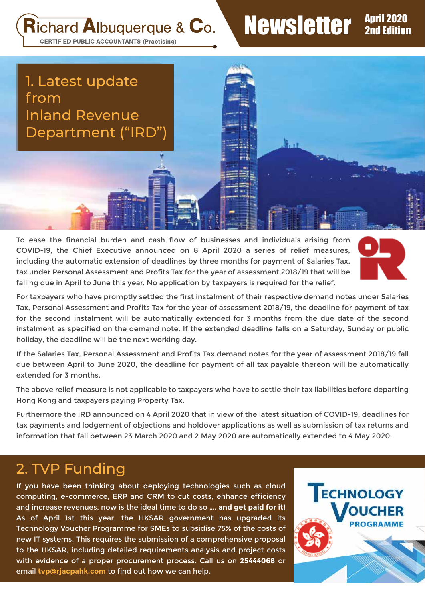Richard Albuquerque & Co.

# Newsletter April 2020

 $\frac{1}{2}$ ,  $\frac{1}{2}$ 

**CERTIFIED PUBLIC ACCOUNTANTS (Practising)** 

1. Latest update from Inland Revenue Department ("IRD")

To ease the financial burden and cash flow of businesses and individuals arising from COVID-19, the Chief Executive announced on 8 April 2020 a series of relief measures, including the automatic extension of deadlines by three months for payment of Salaries Tax, tax under Personal Assessment and Profits Tax for the year of assessment 2018/19 that will be falling due in April to June this year. No application by taxpayers is required for the relief.



For taxpayers who have promptly settled the first instalment of their respective demand notes under Salaries Tax, Personal Assessment and Profits Tax for the year of assessment 2018/19, the deadline for payment of tax for the second instalment will be automatically extended for 3 months from the due date of the second instalment as specified on the demand note. If the extended deadline falls on a Saturday, Sunday or public holiday, the deadline will be the next working day.

If the Salaries Tax, Personal Assessment and Profits Tax demand notes for the year of assessment 2018/19 fall due between April to June 2020, the deadline for payment of all tax payable thereon will be automatically extended for 3 months.

The above relief measure is not applicable to taxpayers who have to settle their tax liabilities before departing Hong Kong and taxpayers paying Property Tax.

Furthermore the IRD announced on 4 April 2020 that in view of the latest situation of COVID-19, deadlines for tax payments and lodgement of objections and holdover applications as well as submission of tax returns and information that fall between 23 March 2020 and 2 May 2020 are automatically extended to 4 May 2020.

#### 2. TVP Funding

If you have been thinking about deploying technologies such as cloud computing, e-commerce, ERP and CRM to cut costs, enhance efficiency and increase revenues, now is the ideal time to do so …. **and get paid for it!**  As of April 1st this year, the HKSAR government has upgraded its Technology Voucher Programme for SMEs to subsidise 75% of the costs of new IT systems. This requires the submission of a comprehensive proposal to the HKSAR, including detailed requirements analysis and project costs with evidence of a proper procurement process. Call us on **25444068** or email **tvp@rjacpahk.com** to find out how we can help.